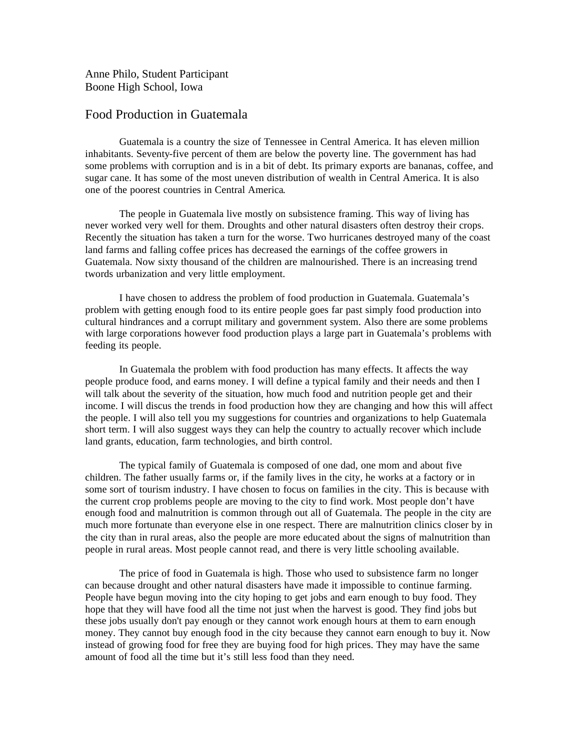Anne Philo, Student Participant Boone High School, Iowa

## Food Production in Guatemala

Guatemala is a country the size of Tennessee in Central America. It has eleven million inhabitants. Seventy-five percent of them are below the poverty line. The government has had some problems with corruption and is in a bit of debt. Its primary exports are bananas, coffee, and sugar cane. It has some of the most uneven distribution of wealth in Central America. It is also one of the poorest countries in Central America.

The people in Guatemala live mostly on subsistence framing. This way of living has never worked very well for them. Droughts and other natural disasters often destroy their crops. Recently the situation has taken a turn for the worse. Two hurricanes destroyed many of the coast land farms and falling coffee prices has decreased the earnings of the coffee growers in Guatemala. Now sixty thousand of the children are malnourished. There is an increasing trend twords urbanization and very little employment.

I have chosen to address the problem of food production in Guatemala. Guatemala's problem with getting enough food to its entire people goes far past simply food production into cultural hindrances and a corrupt military and government system. Also there are some problems with large corporations however food production plays a large part in Guatemala's problems with feeding its people.

In Guatemala the problem with food production has many effects. It affects the way people produce food, and earns money. I will define a typical family and their needs and then I will talk about the severity of the situation, how much food and nutrition people get and their income. I will discus the trends in food production how they are changing and how this will affect the people. I will also tell you my suggestions for countries and organizations to help Guatemala short term. I will also suggest ways they can help the country to actually recover which include land grants, education, farm technologies, and birth control.

The typical family of Guatemala is composed of one dad, one mom and about five children. The father usually farms or, if the family lives in the city, he works at a factory or in some sort of tourism industry. I have chosen to focus on families in the city. This is because with the current crop problems people are moving to the city to find work. Most people don't have enough food and malnutrition is common through out all of Guatemala. The people in the city are much more fortunate than everyone else in one respect. There are malnutrition clinics closer by in the city than in rural areas, also the people are more educated about the signs of malnutrition than people in rural areas. Most people cannot read, and there is very little schooling available.

The price of food in Guatemala is high. Those who used to subsistence farm no longer can because drought and other natural disasters have made it impossible to continue farming. People have begun moving into the city hoping to get jobs and earn enough to buy food. They hope that they will have food all the time not just when the harvest is good. They find jobs but these jobs usually don't pay enough or they cannot work enough hours at them to earn enough money. They cannot buy enough food in the city because they cannot earn enough to buy it. Now instead of growing food for free they are buying food for high prices. They may have the same amount of food all the time but it's still less food than they need.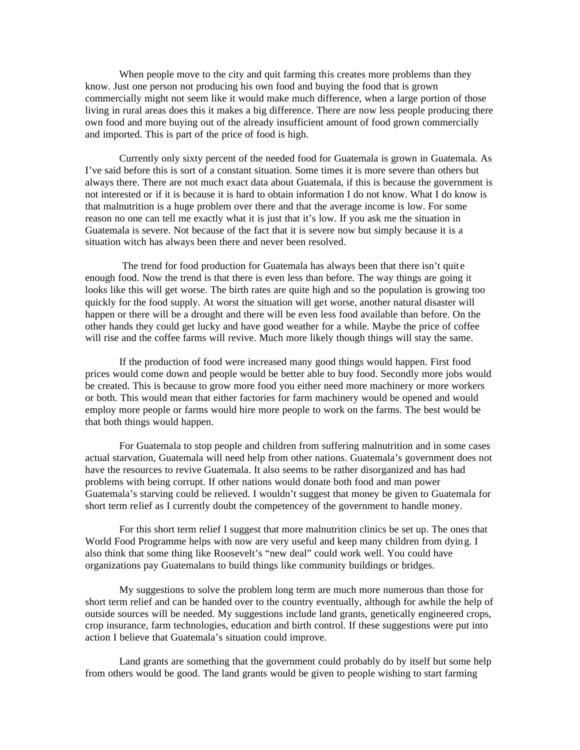When people move to the city and quit farming this creates more problems than they know. Just one person not producing his own food and buying the food that is grown commercially might not seem like it would make much difference, when a large portion of those living in rural areas does this it makes a big difference. There are now less people producing there own food and more buying out of the already insufficient amount of food grown commercially and imported. This is part of the price of food is high.

Currently only sixty percent of the needed food for Guatemala is grown in Guatemala. As I've said before this is sort of a constant situation. Some times it is more severe than others but always there. There are not much exact data about Guatemala, if this is because the government is not interested or if it is because it is hard to obtain information I do not know. What I do know is that malnutrition is a huge problem over there and that the average income is low. For some reason no one can tell me exactly what it is just that it's low. If you ask me the situation in Guatemala is severe. Not because of the fact that it is severe now but simply because it is a situation witch has always been there and never been resolved.

The trend for food production for Guatemala has always been that there isn't quite enough food. Now the trend is that there is even less than before. The way things are going it looks like this will get worse. The birth rates are quite high and so the population is growing too quickly for the food supply. At worst the situation will get worse, another natural disaster will happen or there will be a drought and there will be even less food available than before. On the other hands they could get lucky and have good weather for a while. Maybe the price of coffee will rise and the coffee farms will revive. Much more likely though things will stay the same.

If the production of food were increased many good things would happen. First food prices would come down and people would be better able to buy food. Secondly more jobs would be created. This is because to grow more food you either need more machinery or more workers or both. This would mean that either factories for farm machinery would be opened and would employ more people or farms would hire more people to work on the farms. The best would be that both things would happen.

For Guatemala to stop people and children from suffering malnutrition and in some cases actual starvation, Guatemala will need help from other nations. Guatemala's government does not have the resources to revive Guatemala. It also seems to be rather disorganized and has had problems with being corrupt. If other nations would donate both food and man power Guatemala's starving could be relieved. I wouldn't suggest that money be given to Guatemala for short term relief as I currently doubt the competencey of the government to handle money.

For this short term relief I suggest that more malnutrition clinics be set up. The ones that World Food Programme helps with now are very useful and keep many children from dying. I also think that some thing like Roosevelt's "new deal" could work well. You could have organizations pay Guatemalans to build things like community buildings or bridges.

My suggestions to solve the problem long term are much more numerous than those for short term relief and can be handed over to the country eventually, although for awhile the help of outside sources will be needed. My suggestions include land grants, genetically engineered crops, crop insurance, farm technologies, education and birth control. If these suggestions were put into action I believe that Guatemala's situation could improve.

Land grants are something that the government could probably do by itself but some help from others would be good. The land grants would be given to people wishing to start farming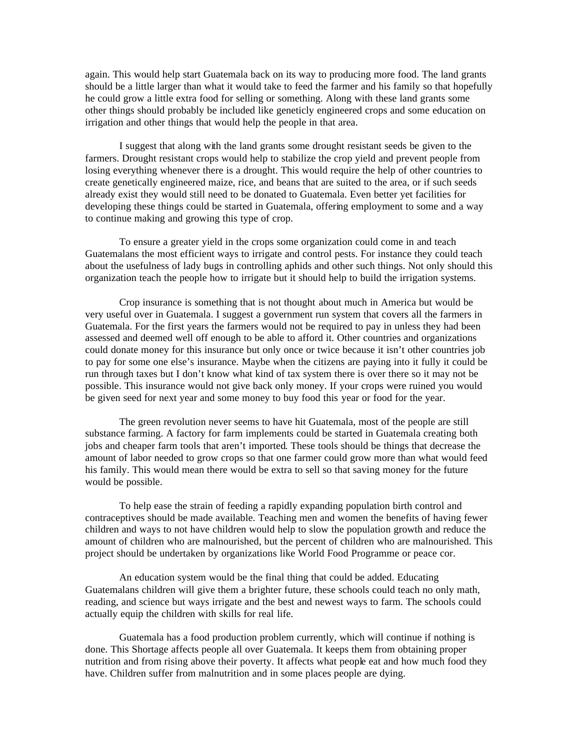again. This would help start Guatemala back on its way to producing more food. The land grants should be a little larger than what it would take to feed the farmer and his family so that hopefully he could grow a little extra food for selling or something. Along with these land grants some other things should probably be included like geneticly engineered crops and some education on irrigation and other things that would help the people in that area.

I suggest that along with the land grants some drought resistant seeds be given to the farmers. Drought resistant crops would help to stabilize the crop yield and prevent people from losing everything whenever there is a drought. This would require the help of other countries to create genetically engineered maize, rice, and beans that are suited to the area, or if such seeds already exist they would still need to be donated to Guatemala. Even better yet facilities for developing these things could be started in Guatemala, offering employment to some and a way to continue making and growing this type of crop.

To ensure a greater yield in the crops some organization could come in and teach Guatemalans the most efficient ways to irrigate and control pests. For instance they could teach about the usefulness of lady bugs in controlling aphids and other such things. Not only should this organization teach the people how to irrigate but it should help to build the irrigation systems.

Crop insurance is something that is not thought about much in America but would be very useful over in Guatemala. I suggest a government run system that covers all the farmers in Guatemala. For the first years the farmers would not be required to pay in unless they had been assessed and deemed well off enough to be able to afford it. Other countries and organizations could donate money for this insurance but only once or twice because it isn't other countries job to pay for some one else's insurance. Maybe when the citizens are paying into it fully it could be run through taxes but I don't know what kind of tax system there is over there so it may not be possible. This insurance would not give back only money. If your crops were ruined you would be given seed for next year and some money to buy food this year or food for the year.

The green revolution never seems to have hit Guatemala, most of the people are still substance farming. A factory for farm implements could be started in Guatemala creating both jobs and cheaper farm tools that aren't imported. These tools should be things that decrease the amount of labor needed to grow crops so that one farmer could grow more than what would feed his family. This would mean there would be extra to sell so that saving money for the future would be possible.

To help ease the strain of feeding a rapidly expanding population birth control and contraceptives should be made available. Teaching men and women the benefits of having fewer children and ways to not have children would help to slow the population growth and reduce the amount of children who are malnourished, but the percent of children who are malnourished. This project should be undertaken by organizations like World Food Programme or peace cor.

An education system would be the final thing that could be added. Educating Guatemalans children will give them a brighter future, these schools could teach no only math, reading, and science but ways irrigate and the best and newest ways to farm. The schools could actually equip the children with skills for real life.

Guatemala has a food production problem currently, which will continue if nothing is done. This Shortage affects people all over Guatemala. It keeps them from obtaining proper nutrition and from rising above their poverty. It affects what people eat and how much food they have. Children suffer from malnutrition and in some places people are dying.